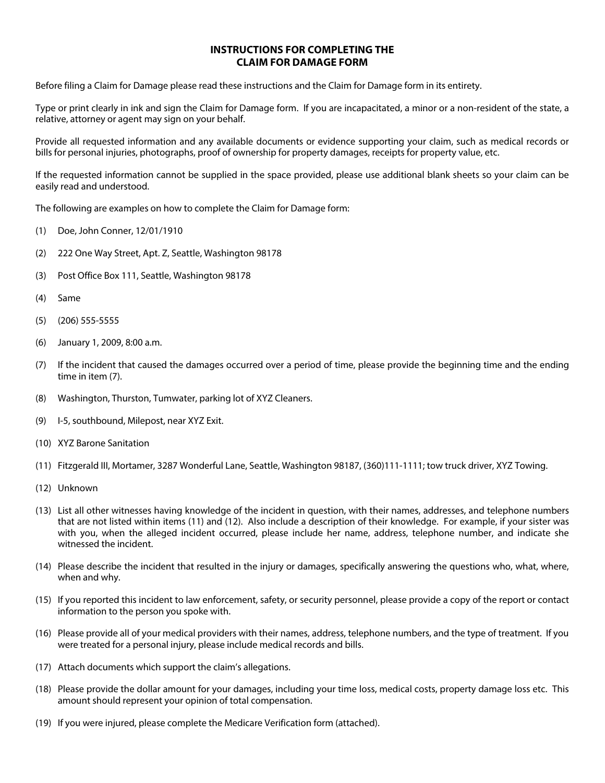#### **INSTRUCTIONS FOR COMPLETING THE CLAIM FOR DAMAGE FORM**

Before filing a Claim for Damage please read these instructions and the Claim for Damage form in its entirety.

Type or print clearly in ink and sign the Claim for Damage form. If you are incapacitated, a minor or a non-resident of the state, a relative, attorney or agent may sign on your behalf.

Provide all requested information and any available documents or evidence supporting your claim, such as medical records or bills for personal injuries, photographs, proof of ownership for property damages, receipts for property value, etc.

If the requested information cannot be supplied in the space provided, please use additional blank sheets so your claim can be easily read and understood.

The following are examples on how to complete the Claim for Damage form:

- (1) Doe, John Conner, 12/01/1910
- (2) 222 One Way Street, Apt. Z, Seattle, Washington 98178
- (3) Post Office Box 111, Seattle, Washington 98178
- (4) Same
- (5) (206) 555-5555
- (6) January 1, 2009, 8:00 a.m.
- (7) If the incident that caused the damages occurred over a period of time, please provide the beginning time and the ending time in item (7).
- (8) Washington, Thurston, Tumwater, parking lot of XYZ Cleaners.
- (9) I-5, southbound, Milepost, near XYZ Exit.
- (10) XYZ Barone Sanitation
- (11) Fitzgerald III, Mortamer, 3287 Wonderful Lane, Seattle, Washington 98187, (360)111-1111; tow truck driver, XYZ Towing.
- (12) Unknown
- (13) List all other witnesses having knowledge of the incident in question, with their names, addresses, and telephone numbers that are not listed within items (11) and (12). Also include a description of their knowledge. For example, if your sister was with you, when the alleged incident occurred, please include her name, address, telephone number, and indicate she witnessed the incident.
- (14) Please describe the incident that resulted in the injury or damages, specifically answering the questions who, what, where, when and why.
- (15) If you reported this incident to law enforcement, safety, or security personnel, please provide a copy of the report or contact information to the person you spoke with.
- (16) Please provide all of your medical providers with their names, address, telephone numbers, and the type of treatment. If you were treated for a personal injury, please include medical records and bills.
- (17) Attach documents which support the claim's allegations.
- (18) Please provide the dollar amount for your damages, including your time loss, medical costs, property damage loss etc. This amount should represent your opinion of total compensation.
- (19) If you were injured, please complete the Medicare Verification form (attached).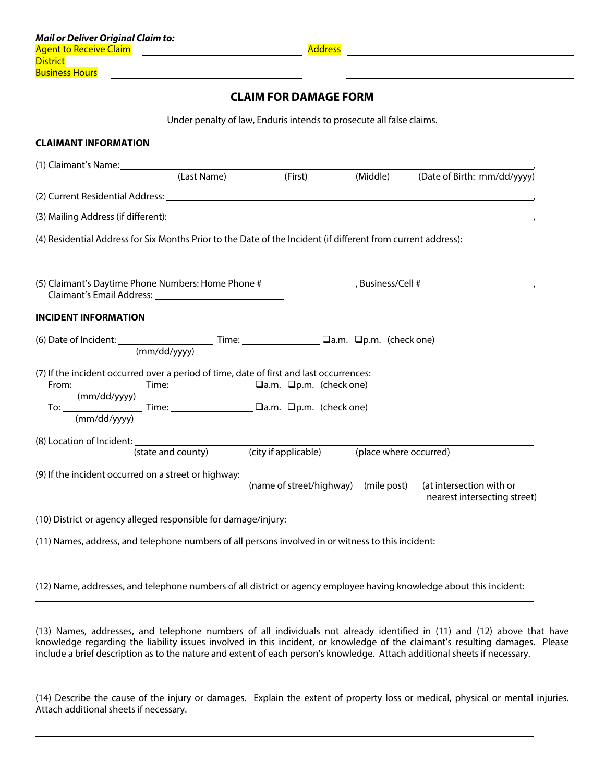l,  $\overline{\phantom{a}}$ 

l l

### **CLAIM FOR DAMAGE FORM**

Under penalty of law, Enduris intends to prosecute all false claims.

| (1) Claimant's Name:                                                                                                                                                                                                                                                                                                                                              | (Last Name)                                                    |                                      | (First) (Middle) | (Date of Birth: mm/dd/yyyy)                                                                                                                                                                                                    |
|-------------------------------------------------------------------------------------------------------------------------------------------------------------------------------------------------------------------------------------------------------------------------------------------------------------------------------------------------------------------|----------------------------------------------------------------|--------------------------------------|------------------|--------------------------------------------------------------------------------------------------------------------------------------------------------------------------------------------------------------------------------|
|                                                                                                                                                                                                                                                                                                                                                                   |                                                                |                                      |                  |                                                                                                                                                                                                                                |
|                                                                                                                                                                                                                                                                                                                                                                   |                                                                |                                      |                  |                                                                                                                                                                                                                                |
|                                                                                                                                                                                                                                                                                                                                                                   |                                                                |                                      |                  | (3) Mailing Address (if different): example and a series of the series of the series of the series of the series of the series of the series of the series of the series of the series of the series of the series of the seri |
| (4) Residential Address for Six Months Prior to the Date of the Incident (if different from current address):                                                                                                                                                                                                                                                     |                                                                |                                      |                  |                                                                                                                                                                                                                                |
|                                                                                                                                                                                                                                                                                                                                                                   |                                                                |                                      |                  |                                                                                                                                                                                                                                |
|                                                                                                                                                                                                                                                                                                                                                                   |                                                                |                                      |                  |                                                                                                                                                                                                                                |
| <b>INCIDENT INFORMATION</b>                                                                                                                                                                                                                                                                                                                                       |                                                                |                                      |                  |                                                                                                                                                                                                                                |
| (6) Date of Incident: $\frac{1}{(mm/dd/yyyy)}$ Time: $\frac{1}{(mm/dd/yyyy)}$                                                                                                                                                                                                                                                                                     |                                                                |                                      |                  |                                                                                                                                                                                                                                |
| (7) If the incident occurred over a period of time, date of first and last occurrences:<br>(mm/dd/yyyy)                                                                                                                                                                                                                                                           |                                                                |                                      |                  |                                                                                                                                                                                                                                |
| To: $\underbrace{\qquad \qquad \qquad}_{(mm/dd/yyyy)}$ Time: $\underbrace{\qquad \qquad}$ $\qquad \qquad$ $\qquad$ $\qquad$ $\qquad$ $\qquad$ $\qquad$ $\qquad$ $\qquad$ $\qquad$ $\qquad$ $\qquad$ $\qquad$ $\qquad$ $\qquad$ $\qquad$ $\qquad$ $\qquad$ $\qquad$ $\qquad$ $\qquad$ $\qquad$ $\qquad$ $\qquad$ $\qquad$ $\qquad$ $\qquad$ $\qquad$ $\qquad$ $\q$ |                                                                |                                      |                  |                                                                                                                                                                                                                                |
|                                                                                                                                                                                                                                                                                                                                                                   |                                                                |                                      |                  |                                                                                                                                                                                                                                |
|                                                                                                                                                                                                                                                                                                                                                                   | (state and county) (city if applicable) (place where occurred) |                                      |                  |                                                                                                                                                                                                                                |
| (9) If the incident occurred on a street or highway: ______________                                                                                                                                                                                                                                                                                               |                                                                |                                      |                  |                                                                                                                                                                                                                                |
|                                                                                                                                                                                                                                                                                                                                                                   |                                                                | (name of street/highway) (mile post) |                  | (at intersection with or<br>nearest intersecting street)                                                                                                                                                                       |
|                                                                                                                                                                                                                                                                                                                                                                   |                                                                |                                      |                  |                                                                                                                                                                                                                                |
| (11) Names, address, and telephone numbers of all persons involved in or witness to this incident:                                                                                                                                                                                                                                                                |                                                                |                                      |                  |                                                                                                                                                                                                                                |
|                                                                                                                                                                                                                                                                                                                                                                   |                                                                |                                      |                  |                                                                                                                                                                                                                                |
|                                                                                                                                                                                                                                                                                                                                                                   |                                                                |                                      |                  | (12) Name, addresses, and telephone numbers of all district or agency employee having knowledge about this incident:                                                                                                           |
|                                                                                                                                                                                                                                                                                                                                                                   |                                                                |                                      |                  |                                                                                                                                                                                                                                |

(14) Describe the cause of the injury or damages. Explain the extent of property loss or medical, physical or mental injuries. Attach additional sheets if necessary.

include a brief description as to the nature and extent of each person's knowledge. Attach additional sheets if necessary.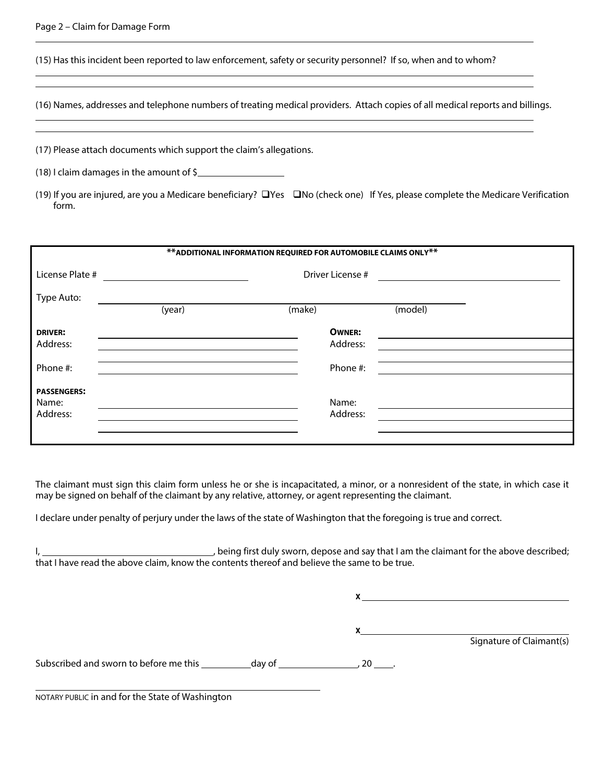#### Page 2 – Claim for Damage Form

l

l l

(15) Has this incident been reported to law enforcement, safety or security personnel? If so, when and to whom?

(16) Names, addresses and telephone numbers of treating medical providers. Attach copies of all medical reports and billings.

(17) Please attach documents which support the claim's allegations.

(18) I claim damages in the amount of \$

(19) If you are injured, are you a Medicare beneficiary?  $\Box$  Yes  $\Box$  No (check one) If Yes, please complete the Medicare Verification form.

| ** ADDITIONAL INFORMATION REQUIRED FOR AUTOMOBILE CLAIMS ONLY ** |        |                  |         |  |  |  |  |  |
|------------------------------------------------------------------|--------|------------------|---------|--|--|--|--|--|
| License Plate #                                                  |        | Driver License # |         |  |  |  |  |  |
| Type Auto:                                                       |        |                  |         |  |  |  |  |  |
|                                                                  | (year) | (make)           | (model) |  |  |  |  |  |
| <b>DRIVER:</b>                                                   |        | <b>OWNER:</b>    |         |  |  |  |  |  |
| Address:                                                         |        | Address:         |         |  |  |  |  |  |
| Phone #:                                                         |        | Phone #:         |         |  |  |  |  |  |
| <b>PASSENGERS:</b>                                               |        |                  |         |  |  |  |  |  |
| Name:                                                            |        | Name:            |         |  |  |  |  |  |
| Address:                                                         |        | Address:         |         |  |  |  |  |  |
|                                                                  |        |                  |         |  |  |  |  |  |
|                                                                  |        |                  |         |  |  |  |  |  |

The claimant must sign this claim form unless he or she is incapacitated, a minor, or a nonresident of the state, in which case it may be signed on behalf of the claimant by any relative, attorney, or agent representing the claimant.

I declare under penalty of perjury under the laws of the state of Washington that the foregoing is true and correct.

I, 1. 1. 1. **I** and the claimant for the above described; that I have read the above claim, know the contents thereof and believe the same to be true.

**X**

**X**

Signature of Claimant(s)

Subscribed and sworn to before me this  $\frac{1}{2}$  day of  $\frac{1}{2}$  , 20  $\frac{1}{2}$ .

NOTARY PUBLIC in and for the State of Washington

 $\overline{\phantom{a}}$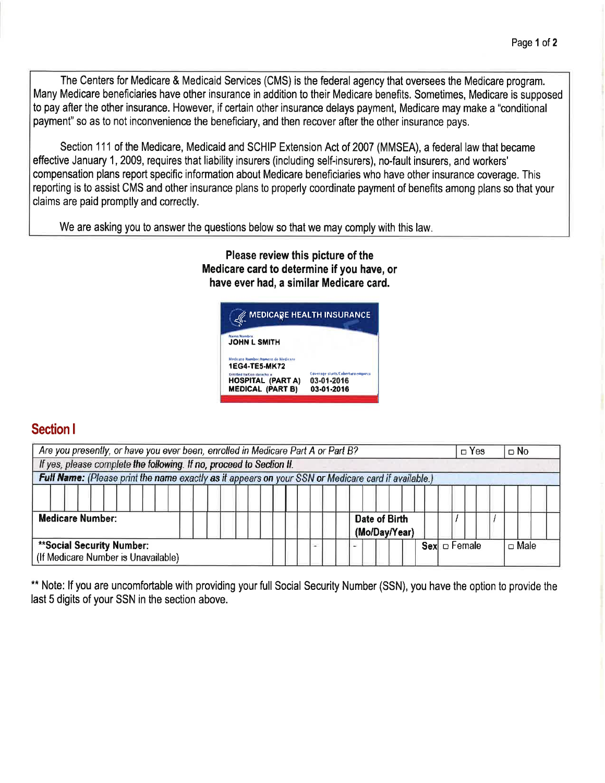The Centers for Medicare & Medicaid Services (CMS) is the federal agency that oversees the Medicare program. Many Medicare beneficiaries have other insurance in addition to their Medicare benefits. Sometimes, Medicare is supposed to pay after the other insurance. However, if certain other insurance delays payment, Medicare may make a "conditional payment" so as to not inconvenience the beneficiary, and then recover after the other insurance pays.

Section 111 of the Medicare, Medicaid and SCHIP Extension Act of 2007 (MMSEA), a federal law that became effective January 1, 2009, requires that liability insurers (including self-insurers), no-fault insurers, and workers' compensation plans report specific information about Medicare beneficiaries who have other insurance coverage. This reporting is to assist CMS and other insurance plans to properly coordinate payment of benefits among plans so that your claims are paid promptly and correctly.

We are asking you to answer the questions below so that we may comply with this law

## Please review this picture of the Medicare card to determine if you have, or have ever had, a similar Medicare card.



# Section <sup>I</sup>

| Are you presently, or have you ever been, enrolled in Medicare Part A or Part B?                    |  |  |                                |  |                   |  | $\Box$ No   |
|-----------------------------------------------------------------------------------------------------|--|--|--------------------------------|--|-------------------|--|-------------|
| If yes, please complete the following. If no, proceed to Section II.                                |  |  |                                |  |                   |  |             |
| Full Name: (Please print the name exactly as it appears on your SSN or Medicare card if available.) |  |  |                                |  |                   |  |             |
| <b>Medicare Number:</b>                                                                             |  |  | Date of Birth<br>(Mo/Day/Year) |  |                   |  |             |
| **Social Security Number:<br>(If Medicare Number is Unavailable)                                    |  |  |                                |  | $Sex \Box$ Female |  | $\Box$ Male |

\*\* Note: If you are uncomfortable with providing your full Social Security Number (SSN), you have the option to provide the last 5 digits of your SSN in the section above.